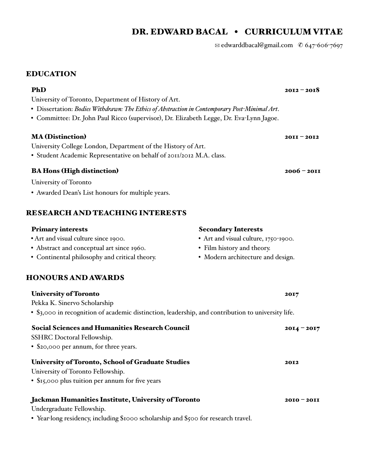# DR. EDWARD BACAL • CURRICULUM VITAE

✉ edwarddbacal@gmail.com ✆ 647-606-7697

## EDUCATION

| PhD                                                                                                | $2012 - 2018$                        |
|----------------------------------------------------------------------------------------------------|--------------------------------------|
| University of Toronto, Department of History of Art.                                               |                                      |
| • Dissertation: Bodies Withdrawn: The Ethics of Abstraction in Contemporary Post-Minimal Art.      |                                      |
| · Committee: Dr. John Paul Ricco (supervisor), Dr. Elizabeth Legge, Dr. Eva-Lynn Jagoe.            |                                      |
| <b>MA (Distinction)</b>                                                                            | $20II - 20I2$                        |
| University College London, Department of the History of Art.                                       |                                      |
| • Student Academic Representative on behalf of 2011/2012 M.A. class.                               |                                      |
| <b>BA Hons (High distinction)</b>                                                                  | $2006 - 2011$                        |
| University of Toronto                                                                              |                                      |
| • Awarded Dean's List honours for multiple years.                                                  |                                      |
| <b>RESEARCH AND TEACHING INTERESTS</b>                                                             |                                      |
| <b>Primary interests</b>                                                                           | <b>Secondary Interests</b>           |
| • Art and visual culture since 1900.                                                               | • Art and visual culture, 1750-1900. |
| • Abstract and conceptual art since 1960.                                                          | • Film history and theory.           |
| • Continental philosophy and critical theory.                                                      | · Modern architecture and design.    |
| <b>HONOURS AND AWARDS</b>                                                                          |                                      |
| <b>University of Toronto</b>                                                                       | 2017                                 |
| Pekka K. Sinervo Scholarship                                                                       |                                      |
| • \$3,000 in recognition of academic distinction, leadership, and contribution to university life. |                                      |
| <b>Social Sciences and Humanities Research Council</b>                                             | $2014 - 2017$                        |
| SSHRC Doctoral Fellowship.                                                                         |                                      |
| • \$20,000 per annum, for three years.                                                             |                                      |
| <b>University of Toronto, School of Graduate Studies</b>                                           | 2012                                 |
| University of Toronto Fellowship.                                                                  |                                      |
| • \$15,000 plus tuition per annum for five years                                                   |                                      |

## Jackman Humanities Institute, University of Toronto 2010 - 2010 - 2011

Undergraduate Fellowship.

• Year-long residency, including \$1000 scholarship and \$500 for research travel.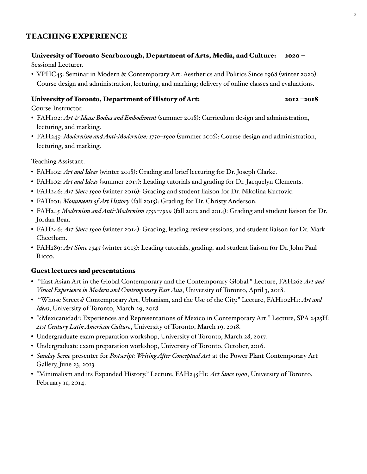## TEACHING EXPERIENCE

## University of Toronto Scarborough, Department of Arts, Media, and Culture: 2020 –

Sessional Lecturer.

• VPHC45: Seminar in Modern & Contemporary Art: Aesthetics and Politics Since 1968 (winter 2020): Course design and administration, lecturing, and marking; delivery of online classes and evaluations.

## University of Toronto, Department of History of Art: 2012 –2018

Course Instructor.

- FAH102: *Art & Ideas: Bodies and Embodiment* (summer 2018): Curriculum design and administration, lecturing, and marking.
- FAH245: *Modernism and Anti-Modernism: 1750–1900* (summer 2016): Course design and administration, lecturing, and marking.

Teaching Assistant.

- FAH102: *Art and Ideas* (winter 2018): Grading and brief lecturing for Dr. Joseph Clarke.
- FAH102: *Art and Ideas* (summer 2017): Leading tutorials and grading for Dr. Jacquelyn Clements.
- FAH246: *Art Since 1900* (winter 2016): Grading and student liaison for Dr. Nikolina Kurtovic.
- FAH101: *Monuments of Art History* (fall 2015): Grading for Dr. Christy Anderson.
- FAH245 *Modernism and Anti-Modernism 1750–1900* (fall 2012 and 2014): Grading and student liaison for Dr. Jordan Bear.
- FAH246: *Art Since 1900* (winter 2014): Grading, leading review sessions, and student liaison for Dr. Mark Cheetham.
- FAH289: *Art Since 1945* (winter 2013): Leading tutorials, grading, and student liaison for Dr. John Paul Ricco.

## Guest lectures and presentations

- "East Asian Art in the Global Contemporary and the Contemporary Global." Lecture, FAH262 *Art and Visual Experience in Modern and Contemporary East Asia*, University of Toronto, April 3, 2018.
- "Whose Streets? Contemporary Art, Urbanism, and the Use of the City." Lecture, FAH102H1: *Art and Ideas*, University of Toronto, March 29, 2018.
- "¿Mexicanidad?: Experiences and Representations of Mexico in Contemporary Art." Lecture, SPA 2425H: *21st Century Latin American Culture*, University of Toronto, March 19, 2018.
- Undergraduate exam preparation workshop, University of Toronto, March 28, 2017.
- Undergraduate exam preparation workshop, University of Toronto, October, 2016.
- *Sunday Scene* presenter for *Postscript: Writing Afer Conceptual Art* at the Power Plant Contemporary Art Gallery, June 23, 2013.
- "Minimalism and its Expanded History." Lecture, FAH245H1: *Art Since 1900*, University of Toronto, February 11, 2014.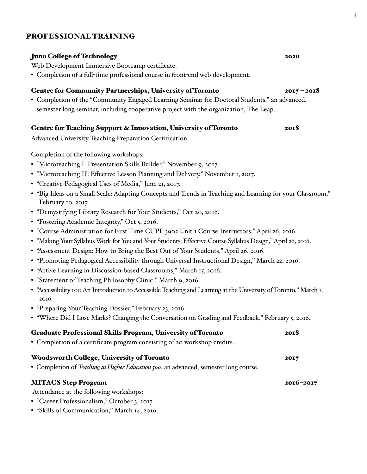## PROFESSIONAL TRAINING

## Juno College of Technology 2020

Web Development Immersive Bootcamp certificate.

• Completion of a full-time professional course in front-end web development.

### Centre for Community Partnerships, University of Toronto 2017 – 2018

• Completion of the "Community Engaged Learning Seminar for Doctoral Students," an advanced, semester long seminar, including cooperative project with the organization, The Leap.

### Centre for Teaching Support & Innovation, University of Toronto 2018

Advanced University Teaching Preparation Certification.

Completion of the following workshops:

- "Microteaching I: Presentation Skills Builder," November 9, 2017.
- "Microteaching II: Effective Lesson Planning and Delivery," November 1, 2017.
- "Creative Pedagogical Uses of Media," June 21, 2017.
- "Big Ideas on a Small Scale: Adapting Concepts and Trends in Teaching and Learning for your Classroom," February 10, 2017.
- "Demystifying Library Research for Your Students," Oct 20, 2016.
- "Fostering Academic Integrity," Oct 5, 2016.
- "Course Administration for First Time CUPE 3902 Unit 1 Course Instructors," April 26, 2016.
- "Making Your Syllabus Work for You and Your Students: Effective Course Syllabus Design," April 26, 2016.
- "Assessment Design: How to Bring the Best Out of Your Students," April 26, 2016.
- "Promoting Pedagogical Accessibility through Universal Instructional Design," March 22, 2016.
- "Active Learning in Discussion-based Classrooms," March 15, 2016.
- "Statement of Teaching Philosophy Clinic," March 9, 2016.
- "Accessibility 101: An Introduction to Accessible Teaching and Learning at the University of Toronto," March 1, 2016.
- "Preparing Your Teaching Dossier," February 23, 2016.
- "Where Did I Lose Marks? Changing the Conversation on Grading and Feedback," February 5, 2016.

### Graduate Professional Skills Program, University of Toronto 2018

• Completion of a certificate program consisting of 20 workshop credits.

# Woodsworth College, University of Toronto 2017

• Completion of *Teaching in Higher Education 500*, an advanced, semester long course.

## MITACS Step Program 2016–2017

Attendance at the following workshops:

- "Career Professionalism," October 3, 2017.
- "Skills of Communication," March 14, 2016.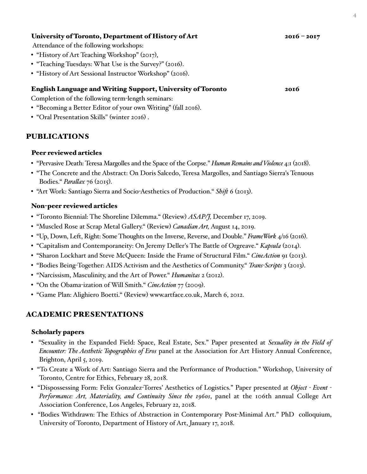## University of Toronto, Department of History of Art 2016 - 2017

Attendance of the following workshops:

- "History of Art Teaching Workshop" (2017),
- "Teaching Tuesdays: What Use is the Survey?" (2016).
- "History of Art Sessional Instructor Workshop" (2016).

### English Language and Writing Support, University of Toronto 2016

Completion of the following term-length seminars:

- "Becoming a Better Editor of your own Writing" (fall 2016).
- "Oral Presentation Skills" (winter 2016) .

## PUBLICATIONS

### Peer reviewed articles

- "Pervasive Death: Teresa Margolles and the Space of the Corpse." *Human Remains and Violence* 4:1 (2018).
- "The Concrete and the Abstract: On Doris Salcedo, Teresa Margolles, and Santiago Sierra's Tenuous Bodies." *Paralax* 76 (2015).
- "Art Work: Santiago Sierra and Socio-Aesthetics of Production." *Shif* 6 (2013).

### Non-peer reviewed articles

- "Toronto Biennial: The Shoreline Dilemma." (Review) *ASAP/J,* December 17, 2019.
- "Muscled Rose at Scrap Metal Gallery." (Review) *Canadian Art,* August 14, 2019.
- "Up, Down, Left, Right: Some Thoughts on the Inverse, Reverse, and Double." *FrameWork* 4/16 (2016).
- "Capitalism and Contemporaneity: On Jeremy Deller's The Battle of Orgreave." *Kapsula* (2014).
- "Sharon Lockhart and Steve McQueen: Inside the Frame of Structural Film." *CineAction* 91 (2013).
- "Bodies Being-Together: AIDS Activism and the Aesthetics of Community." *Trans-Scripts* 3 (2013).
- "Narcissism, Masculinity, and the Art of Power." *Humanitas* 2 (2012).
- "On the Obama-ization of Will Smith." *CineAction* 77 (2009).
- "Game Plan: Alighiero Boetti." (Review) www.artface.co.uk, March 6, 2012.

## ACADEMIC PRESENTATIONS

### Scholarly papers

- "Sexuality in the Expanded Field: Space, Real Estate, Sex." Paper presented at *Sexuality in the Field of Encounter: The Aesthetic Topographies of Eros* panel at the Association for Art History Annual Conference, Brighton, April 5, 2019.
- "To Create a Work of Art: Santiago Sierra and the Performance of Production." Workshop, University of Toronto, Centre for Ethics, February 28, 2018.
- "Dispossessing Form: Felix Gonzalez-Torres' Aesthetics of Logistics." Paper presented at *Object - Event - Performance: Art, Materiality, and Continuity Since the 1960s*, panel at the 106th annual College Art Association Conference, Los Angeles, February 22, 2018.
- "Bodies Withdrawn: The Ethics of Abstraction in Contemporary Post-Minimal Art." PhD colloquium, University of Toronto, Department of History of Art, January 17, 2018.

 $\overline{4}$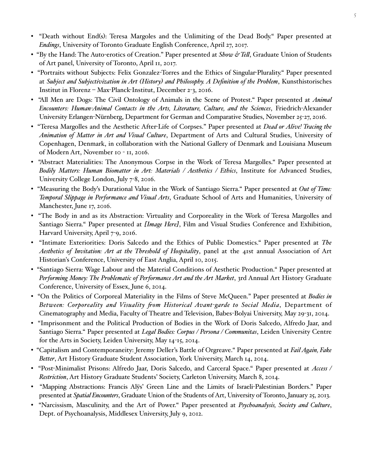- "Death without End(s): Teresa Margoles and the Unlimiting of the Dead Body." Paper presented at *Endings*, University of Toronto Graduate English Conference, April 27, 2017.
- "By the Hand: The Auto-erotics of Creation." Paper presented at *Show & Tel*, Graduate Union of Students of Art panel, University of Toronto, April 11, 2017.
- "Portraits without Subjects: Felix Gonzalez-Torres and the Ethics of Singular-Plurality." Paper presented at *Subject and Subjectivization in Art (History) and Philosophy. A Definition of the Problem*, Kunsthistorisches Institut in Florenz – Max-Planck-Institut, December 2-3, 2016.
- "All Men are Dogs: The Civil Ontology of Animals in the Scene of Protest." Paper presented at *Animal Encounters: Human-Animal Contacts in the Arts, Literature, Culture, and the Sciences*, Friedrich-Alexander University Erlangen-Nürnberg, Department for German and Comparative Studies, November 25-27, 2016.
- "Teresa Margolles and the Aesthetic After-Life of Corpses." Paper presented at *Dead or Alive! Tracing the Animation of Matter in Art and Visual Culture*, Department of Arts and Cultural Studies, University of Copenhagen, Denmark, in collaboration with the National Gallery of Denmark and Louisiana Museum of Modern Art, November 10 - 11, 2016.
- "Abstract Materialities: The Anonymous Corpse in the Work of Teresa Margolles." Paper presented at *Bodily Matters: Human Biomatter in Art: Materials / Aesthetics / Ethics*, Institute for Advanced Studies, University College London, July 7-8, 2016.
- "Measuring the Body's Durational Value in the Work of Santiago Sierra." Paper presented at *Out of Time: Temporal Slippage in Performance and Visual Arts*, Graduate School of Arts and Humanities, University of Manchester, June 17, 2016.
- "The Body in and as its Abstraction: Virtuality and Corporeality in the Work of Teresa Margolles and Santiago Sierra." Paper presented at *[Image Here]*, Film and Visual Studies Conference and Exhibition, Harvard University, April 7-9, 2016.
- "Intimate Exteriorities: Doris Salcedo and the Ethics of Public Domestics." Paper presented at *The Aesthetics of Invitation: Art at the Threshold of Hospitality*, panel at the 41st annual Association of Art Historian's Conference, University of East Anglia, April 10, 2015.
- "Santiago Sierra: Wage Labour and the Material Conditions of Aesthetic Production." Paper presented at *Performing Money: The Problematic of Performance Art and the Art Market*, 3rd Annual Art History Graduate Conference, University of Essex, June 6, 2014.
- "On the Politics of Corporeal Materiality in the Films of Steve McQueen." Paper presented at *Bodies in Between: Corporeality and Visuality fom Historical Avant-garde to Social Media*, Department of Cinematography and Media, Faculty of Theatre and Television, Babes-Bolyai University, May 29-31, 2014.
- "Imprisonment and the Political Production of Bodies in the Work of Doris Salcedo, Alfredo Jaar, and Santiago Sierra." Paper presented at *Legal Bodies: Corpus / Persona / Communitas*, Leiden University Centre for the Arts in Society, Leiden University, May 14-15, 2014.
- "Capitalism and Contemporaneity: Jeremy Deller's Battle of Orgreave." Paper presented at *Fail Again, Fake Better*, Art History Graduate Student Association, York University, March 14, 2014.
- "Post-Minimalist Prisons: Alfredo Jaar, Doris Salcedo, and Carceral Space." Paper presented at *Access / Restriction*, Art History Graduate Students' Society, Carleton University, March 8, 2014.
- "Mapping Abstractions: Francis Alÿs' Green Line and the Limits of Israeli-Palestinian Borders." Paper presented at *Spatial Encounters*, Graduate Union of the Students of Art, University of Toronto, January 25, 2013.
- "Narcissism, Masculinity, and the Art of Power." Paper presented at *Psychoanalysis, Society and Culture*, Dept. of Psychoanalysis, Middlesex University, July 9, 2012.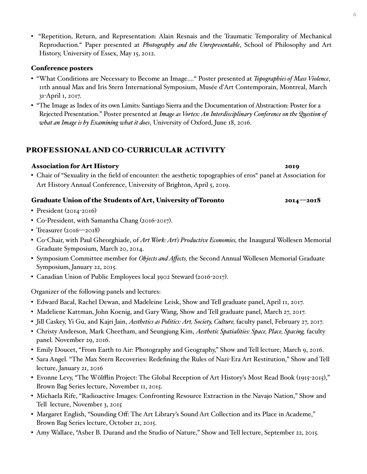• "Repetition, Return, and Representation: Alain Resnais and the Traumatic Temporality of Mechanical Reproduction." Paper presented at *Photography and the Unrepresentable*, School of Philosophy and Art History, University of Essex, May 15, 2012.

### Conference posters

- "What Conditions are Necessary to Become an Image.…" Poster presented at *Topographies of Mass Violence*, 11th annual Max and Iris Stern International Symposium, Musée d'Art Contemporain, Montreal, March 31-April 1, 2017.
- "The Image as Index of its own Limits: Santiago Sierra and the Documentation of Abstraction: Poster for a Rejected Presentation." Poster presented at *Image as Vortex: An Interdisciplinary Conference on the Question of what an Image is by Examining what it does*, University of Oxford, June 18, 2016.

## PROFESSIONAL AND CO-CURRICULAR ACTIVITY

### Association for Art History 2019

• Chair of "Sexuality in the field of encounter: the aesthetic topographies of eros" panel at Association for Art History Annual Conference, University of Brighton, April 5, 2019.

### Graduate Union of the Students of Art, University of Toronto 2014 -2018

- President (2014-2016)
- Co-President, with Samantha Chang (2016-2017).
- Treasurer (2016—2018)
- Co-Chair, with Paul Gheorghiade, of *Art Work: Art's Productive Economies,* the Inaugural Wollesen Memorial Graduate Symposium, March 20, 2014.
- Symposium Committee member for *Objects and Affects,* the Second Annual Wollesen Memorial Graduate Symposium, January 22, 2015.
- Canadian Union of Public Employees local 3902 Steward (2016-2017).

Organizer of the following panels and lectures:

- Edward Bacal, Rachel Dewan, and Madeleine Leisk, Show and Tell graduate panel, April 11, 2017.
- Madeliene Kattman, John Koenig, and Gary Wang, Show and Tell graduate panel, March 27, 2017.
- Jill Caskey, Yi Gu, and Kajri Jain, *Aesthetics as Politics: Art, Society, Culture,* faculty panel, February 27, 2017.
- Christy Anderson, Mark Cheetham, and Seungjung Kim, *Aesthetic Spatialities: Space, Place, Spacing,* faculty panel. November 29, 2016.
- Emily Doucet, "From Earth to Air: Photography and Geography," Show and Tell lecture, March 9, 2016.
- Sara Angel. "The Max Stern Recoveries: Redefining the Rules of Nazi-Era Art Restitution," Show and Tell lecture, January 21, 2016
- Evonne Levy, "The Wölfflin Project: The Global Reception of Art History's Most Read Book (1915-2015)," Brown Bag Series lecture, November 11, 2015.
- Michaela Rife, "Radioactive Images: Confronting Resource Extraction in the Navajo Nation," Show and Tell lecture, November 3, 2015
- Margaret English, "Sounding Off: The Art Library's Sound Art Collection and its Place in Academe," Brown Bag Series lecture, October 21, 2015.
- Amy Wallace, "Asher B. Durand and the Studio of Nature," Show and Tell lecture, September 22, 2015.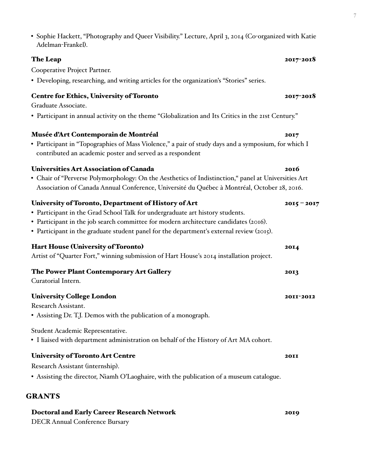• Sophie Hackett, "Photography and Queer Visibility." Lecture, April 3, 2014 (Co-organized with Katie Adelman-Frankel).

## The Leap  $2017$ -2018

Cooperative Project Partner.

• Developing, researching, and writing articles for the organization's "Stories" series.

## Centre for Ethics, University of Toronto 2017-2018

Graduate Associate.

• Participant in annual activity on the theme "Globalization and Its Critics in the 21st Century."

## Musée d'Art Contemporain de Montréal 2017

• Participant in "Topographies of Mass Violence," a pair of study days and a symposium, for which I contributed an academic poster and served as a respondent

## Universities Art Association of Canada 2016

• Chair of "Perverse Polymorphology: On the Aesthetics of Indistinction," panel at Universities Art Association of Canada Annual Conference, Université du Québec à Montréal, October 28, 2016.

## University of Toronto, Department of History of Art 2015 – 2017

- Participant in the Grad School Talk for undergraduate art history students.
- Participant in the job search committee for modern architecture candidates (2016).
- Participant in the graduate student panel for the department's external review (2015).

## Hart House (University of Toronto) 2014

Artist of "Quarter Fort," winning submission of Hart House's 2014 installation project.

The Power Plant Contemporary Art Gallery 2013

Curatorial Intern.

## University College London 2011-2012

Research Assistant.

• Assisting Dr. T.J. Demos with the publication of a monograph.

Student Academic Representative.

• I liaised with department administration on behalf of the History of Art MA cohort.

## University of Toronto Art Centre 2011

Research Assistant (internship).

• Assisting the director, Niamh O'Laoghaire, with the publication of a museum catalogue.

## GRANTS

# Doctoral and Early Career Research Network 2019

DECR Annual Conference Bursary